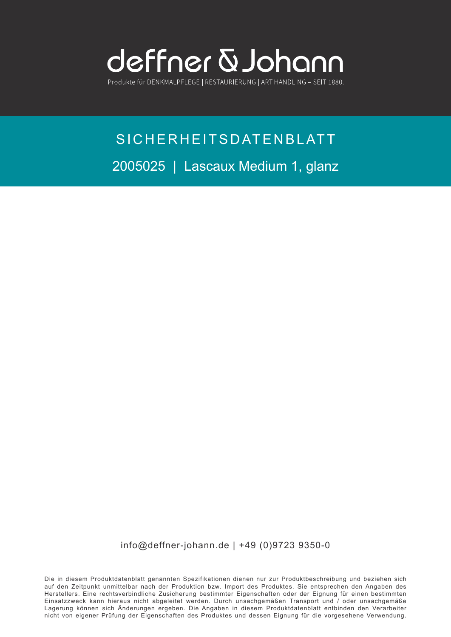

Produkte für DENKMALPFLEGE | RESTAURIERUNG | ART HANDLING - SEIT 1880.

## SICHERHEITSDATENBLATT 2005025 | Lascaux Medium 1, glanz

info@deffner-johann.de | +49 (0)9723 9350-0

Die in diesem Produktdatenblatt genannten Spezifikationen dienen nur zur Produktbeschreibung und beziehen sich auf den Zeitpunkt unmittelbar nach der Produktion bzw. Import des Produktes. Sie entsprechen den Angaben des Herstellers. Eine rechtsverbindliche Zusicherung bestimmter Eigenschaften oder der Eignung für einen bestimmten Einsatzzweck kann hieraus nicht abgeleitet werden. Durch unsachgemäßen Transport und / oder unsachgemäße Lagerung können sich Änderungen ergeben. Die Angaben in diesem Produktdatenblatt entbinden den Verarbeiter nicht von eigener Prüfung der Eigenschaften des Produktes und dessen Eignung für die vorgesehene Verwendung.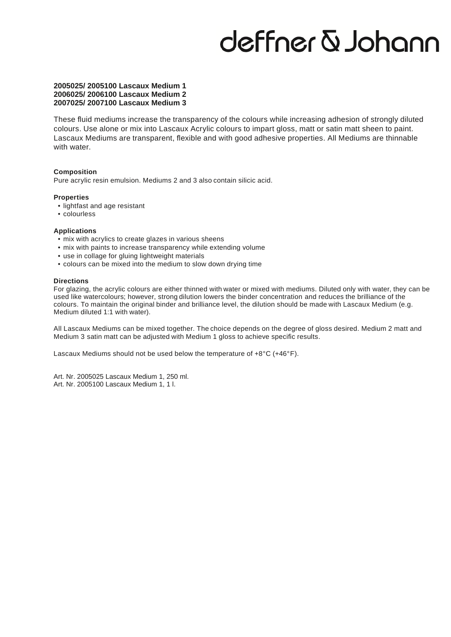## deffner & Johann

### **2005025/ 2005100 Lascaux Medium 1 2006025/ 2006100 Lascaux Medium 2 2007025/ 2007100 Lascaux Medium 3**

These fluid mediums increase the transparency of the colours while increasing adhesion of strongly diluted colours. Use alone or mix into Lascaux Acrylic colours to impart gloss, matt or satin matt sheen to paint. Lascaux Mediums are transparent, flexible and with good adhesive properties. All Mediums are thinnable with water.

### **Composition**

Pure acrylic resin emulsion. Mediums 2 and 3 also contain silicic acid.

### **Properties**

- lightfast and age resistant
- colourless

### **Applications**

- mix with acrylics to create glazes in various sheens
- mix with paints to increase transparency while extending volume
- use in collage for gluing lightweight materials
- colours can be mixed into the medium to slow down drying time

#### **Directions**

ased like watercolours, nowever, strong dilution lowers the binder concentration and reduces the binilance of the<br>colours. To maintain the original binder and brilliance level, the dilution should be made with Lascaux Medi For glazing, the acrylic colours are either thinned with water or mixed with mediums. Diluted only with water, they can be used like watercolours; however, strong dilution lowers the binder concentration and reduces the brilliance of the Medium diluted 1:1 with water).

All Lascaux Mediums can be mixed together. The choice depends on the degree of gloss desired. Medium 2 matt and Medium 3 satin matt can be adjusted with Medium 1 gloss to achieve specific results.

Lascaux Mediums should not be used below the temperature of +8°C (+46°F).

Art. Nr. 2005025 Lascaux Medium 1, 250 ml. Art. Nr. 2005100 Lascaux Medium 1, 1 l.